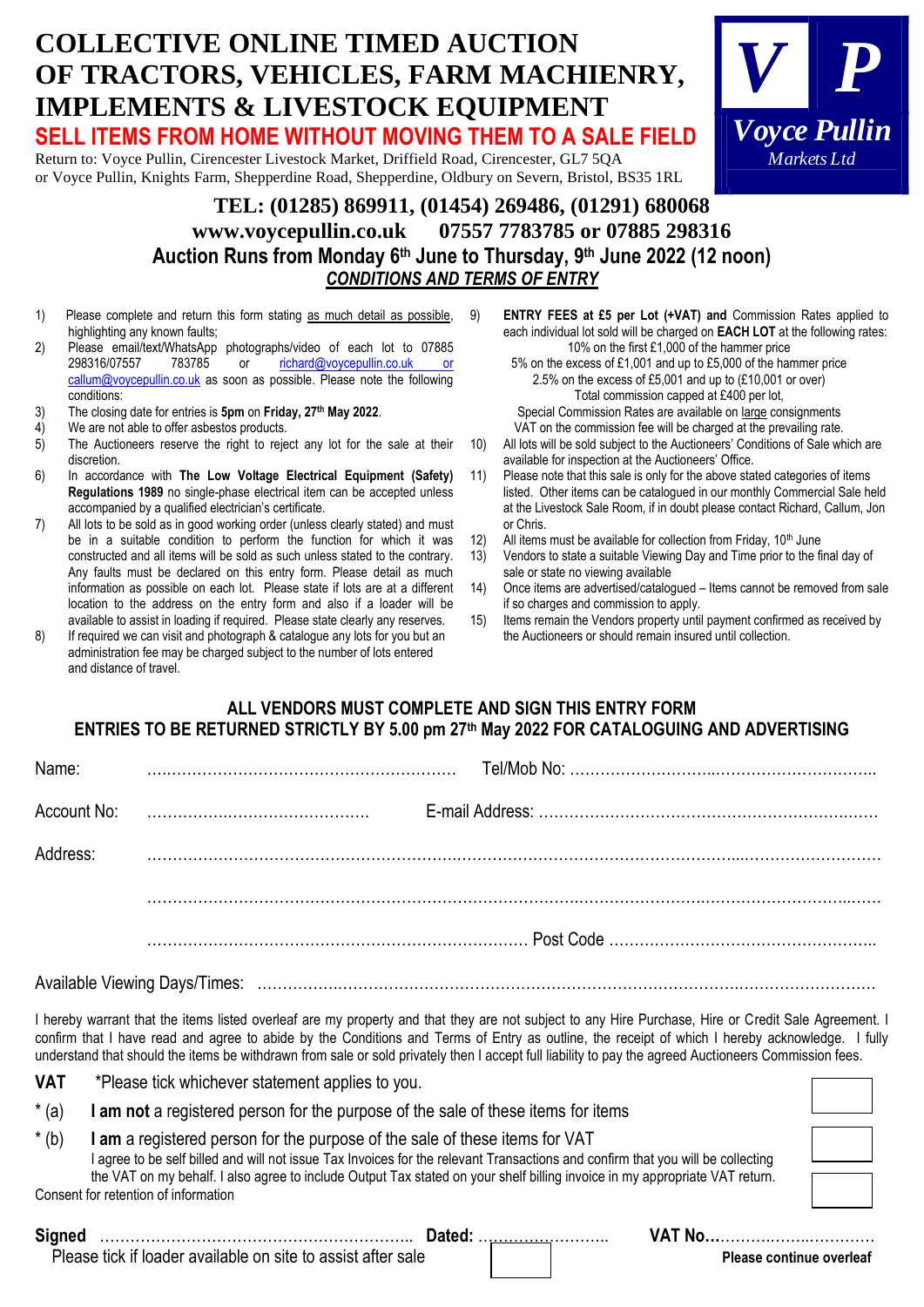## **COLLECTIVE ONLINE TIMED AUCTION OF TRACTORS, VEHICLES, FARM MACHIENRY, IMPLEMENTS & LIVESTOCK EQUIPMENT SELL ITEMS FROM HOME WITHOUT MOVING THEM TO A SALE FIELD** Return to: Voyce Pullin, Cirencester Livestock Market, Driffield Road, Cirencester, GL7 5QA or Voyce Pullin, Knights Farm, Shepperdine Road, Shepperdine, Oldbury on Severn, Bristol, BS35 1RL **TEL: (01285) 869911, (01454) 269486, (01291) 680068** *V P Voyce Pullin Markets Ltd*

## **[www.voycepullin.co.uk](http://www.voycepullin.co.uk/) 07557 7783785 or 07885 298316 Auction Runs from Monday 6 th June to Thursday, 9 th June 2022 (12 noon)** *CONDITIONS AND TERMS OF ENTRY*

- 1) Please complete and return this form stating as much detail as possible, highlighting any known faults;
- 2) Please email/text/WhatsApp photographs/video of each lot to 07885 298316/07557 783785 or richard@voycepullin.co.uk or [callum@voycepullin.co.uk](mailto:richard@voycepullin.co.uk%20or%20callum@voycepullin.co.uk) as soon as possible. Please note the following conditions:
- 3) The closing date for entries is **5pm** on **Friday, 27th May 2022**.
- 4) We are not able to offer asbestos products.
- 5) The Auctioneers reserve the right to reject any lot for the sale at their discretion.
- 6) In accordance with **The Low Voltage Electrical Equipment (Safety) Regulations 1989** no single-phase electrical item can be accepted unless accompanied by a qualified electrician's certificate.
- 7) All lots to be sold as in good working order (unless clearly stated) and must be in a suitable condition to perform the function for which it was constructed and all items will be sold as such unless stated to the contrary. Any faults must be declared on this entry form. Please detail as much information as possible on each lot. Please state if lots are at a different location to the address on the entry form and also if a loader will be available to assist in loading if required. Please state clearly any reserves.
- 8) If required we can visit and photograph & catalogue any lots for you but an administration fee may be charged subject to the number of lots entered and distance of travel.
- 9) **ENTRY FEES at £5 per Lot (+VAT) and** Commission Rates applied to each individual lot sold will be charged on **EACH LOT** at the following rates: 10% on the first £1,000 of the hammer price
	- 5% on the excess of £1,001 and up to £5,000 of the hammer price 2.5% on the excess of £5,001 and up to (£10,001 or over) Total commission capped at £400 per lot,
	- Special Commission Rates are available on large consignments VAT on the commission fee will be charged at the prevailing rate.
- 10) All lots will be sold subject to the Auctioneers' Conditions of Sale which are available for inspection at the Auctioneers' Office.
- 11) Please note that this sale is only for the above stated categories of items listed. Other items can be catalogued in our monthly Commercial Sale held at the Livestock Sale Room, if in doubt please contact Richard, Callum, Jon or Chris.
- 12) All items must be available for collection from Friday,  $10<sup>th</sup>$  June
- 13) Vendors to state a suitable Viewing Day and Time prior to the final day of sale or state no viewing available
- 14) Once items are advertised/catalogued Items cannot be removed from sale if so charges and commission to apply.
- 15) Items remain the Vendors property until payment confirmed as received by the Auctioneers or should remain insured until collection.

## **ALL VENDORS MUST COMPLETE AND SIGN THIS ENTRY FORM ENTRIES TO BE RETURNED STRICTLY BY 5.00 pm 27 th May 2022 FOR CATALOGUING AND ADVERTISING**

Available Viewing Days/Times: …………….…………………………………………………………………….………………………

I hereby warrant that the items listed overleaf are my property and that they are not subject to any Hire Purchase, Hire or Credit Sale Agreement. I confirm that I have read and agree to abide by the Conditions and Terms of Entry as outline, the receipt of which I hereby acknowledge. I fully understand that should the items be withdrawn from sale or sold privately then I accept full liability to pay the agreed Auctioneers Commission fees.

| <b>VAT</b> | *Please tick whichever statement applies to you.                                                                                |
|------------|---------------------------------------------------------------------------------------------------------------------------------|
| $*(a)$     | I am not a registered person for the purpose of the sale of these items for items                                               |
| $*(b)$     | I am a registered person for the purpose of the sale of these items for VAT                                                     |
|            | I agree to be self billed and will not issue Tax Invoices for the relevant Transactions and confirm that you will be collecting |
|            | the VAT on my behalf. I also agree to include Output Tax stated on your shelf billing invoice in my appropriate VAT return.     |

**Signed** …………………………………………………….. **Dated:** …………………….. **VAT No…**……….……..………….

Consent for retention of information

Please tick if loader available on site to assist after sale **Please in the Club Club Please continue overleaf**